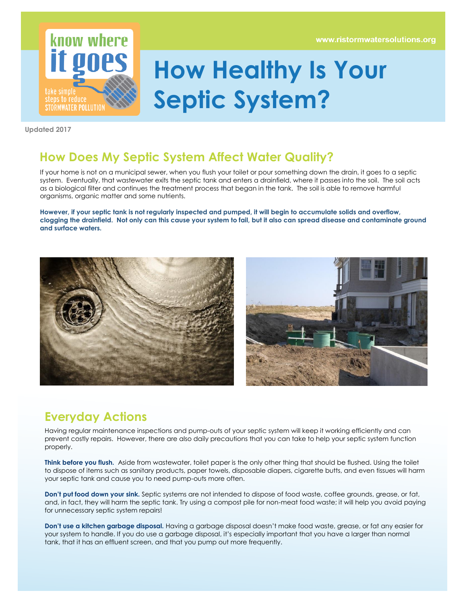www.ristormwatersolutions.org



## **How Healthy Is Your Septic System?**

**Updated 2017**

## **How Does My Septic System Affect Water Quality?**

If your home is not on a municipal sewer, when you flush your toilet or pour something down the drain, it goes to a septic system. Eventually, that wastewater exits the septic tank and enters a drainfield, where it passes into the soil. The soil acts as a biological filter and continues the treatment process that began in the tank. The soil is able to remove harmful organisms, organic matter and some nutrients.

**However, if your septic tank is not regularly inspected and pumped, it will begin to accumulate solids and overflow, clogging the drainfield. Not only can this cause your system to fail, but it also can spread disease and contaminate ground and surface waters.** 





## **Everyday Actions**

Having regular maintenance inspections and pump-outs of your septic system will keep it working efficiently and can prevent costly repairs. However, there are also daily precautions that you can take to help your septic system function properly.

**Think before you flush.** Aside from wastewater, toilet paper is the only other thing that should be flushed. Using the toilet to dispose of items such as sanitary products, paper towels, disposable diapers, cigarette butts, and even tissues will harm your septic tank and cause you to need pump-outs more often.

**Don't put food down your sink.** Septic systems are not intended to dispose of food waste, coffee grounds, grease, or fat, and, in fact, they will harm the septic tank. Try using a compost pile for non-meat food waste; it will help you avoid paying for unnecessary septic system repairs!

**Don't use a kitchen garbage disposal.** Having a garbage disposal doesn't make food waste, grease, or fat any easier for your system to handle. If you do use a garbage disposal, it's especially important that you have a larger than normal tank, that it has an effluent screen, and that you pump out more frequently.